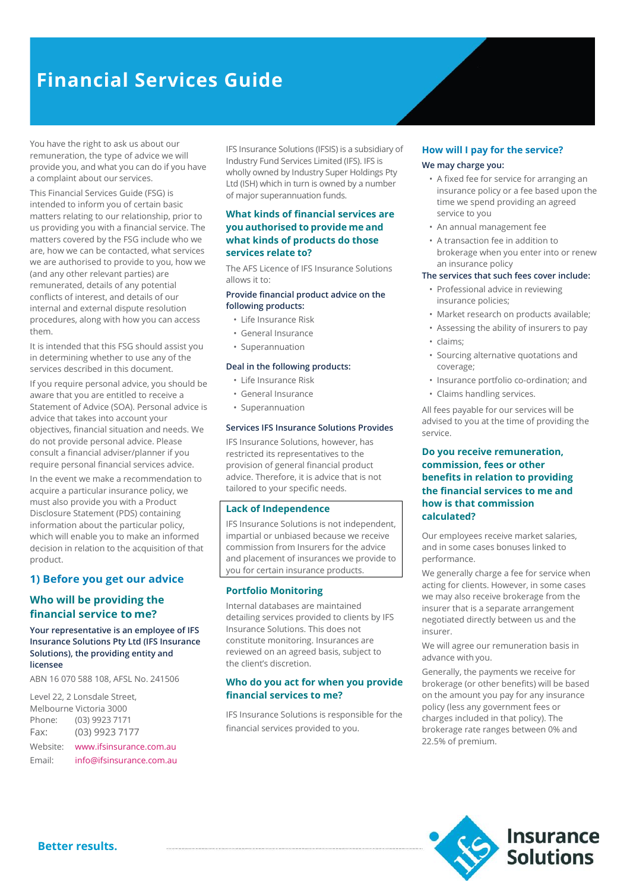# **Financial Services Guide**

You have the right to ask us about our remuneration, the type of advice we will provide you, and what you can do if you have a complaint about our services.

This Financial Services Guide (FSG) is intended to inform you of certain basic matters relating to our relationship, prior to us providing you with a financial service. The matters covered by the FSG include who we are, how we can be contacted, what services we are authorised to provide to you, how we (and any other relevant parties) are remunerated, details of any potential conflicts of interest, and details of our internal and external dispute resolution procedures, along with how you can access them.

It is intended that this FSG should assist you in determining whether to use any of the services described in this document.

If you require personal advice, you should be aware that you are entitled to receive a Statement of Advice (SOA). Personal advice is advice that takes into account your objectives, financial situation and needs. We do not provide personal advice. Please consult a financial adviser/planner if you require personal financial services advice.

In the event we make a recommendation to acquire a particular insurance policy, we must also provide you with a Product Disclosure Statement (PDS) containing information about the particular policy, which will enable you to make an informed decision in relation to the acquisition of that product.

## **1) Before you get our advice**

## **Who will be providing the financial service to me?**

#### **Your representative is an employee of IFS Insurance Solutions Pty Ltd (IFS Insurance Solutions), the providing entity and licensee**

ABN 16 070 588 108, AFSL No. 241506

Level 22, 2 Lonsdale Street, Melbourne Victoria 3000 Phone: (03) 9923 7171 Fax: (03) 9923 7177 Website: [www.ifsinsurance.com.au](http://www.ifsinsurance.com.au/) Email: [info@ifsinsurance.com.au](mailto:info@ifsinsurance.com.au) IFS Insurance Solutions (IFSIS) is a subsidiary of Industry Fund Services Limited (IFS). IFS is wholly owned by Industry Super Holdings Pty Ltd (ISH) which in turn is owned by a number of major superannuation funds.

## **What kinds of financial services are you authorised to provide me and what kinds of products do those services relate to?**

The AFS Licence of IFS Insurance Solutions allows it to:

#### **Provide financial product advice on the following products:**

- Life Insurance Risk
- General Insurance
- Superannuation

#### **Deal in the following products:**

- Life Insurance Risk
- General Insurance
- Superannuation

#### **Services IFS Insurance Solutions Provides**

IFS Insurance Solutions, however, has restricted its representatives to the provision of general financial product advice. Therefore, it is advice that is not tailored to your specific needs.

#### **Lack of Independence**

IFS Insurance Solutions is not independent, impartial or unbiased because we receive commission from Insurers for the advice and placement of insurances we provide to you for certain insurance products.

#### **Portfolio Monitoring**

Internal databases are maintained detailing services provided to clients by IFS Insurance Solutions. This does not constitute monitoring. Insurances are reviewed on an agreed basis, subject to the client's discretion.

#### **Who do you act for when you provide financial services to me?**

IFS Insurance Solutions is responsible for the financial services provided to you.

## **How will I pay for the service?**

#### **We may charge you:**

- A fixed fee for service for arranging an insurance policy or a fee based upon the time we spend providing an agreed service to you
- An annual management fee
- A transaction fee in addition to brokerage when you enter into or renew an insurance policy

#### **The services that such fees cover include:**

- Professional advice in reviewing insurance policies;
- Market research on products available;
- Assessing the ability of insurers to pay
- claims;
- Sourcing alternative quotations and coverage;
- Insurance portfolio co-ordination; and
- Claims handling services.

All fees payable for our services will be advised to you at the time of providing the service.

#### **Do you receive remuneration, commission, fees or other benefits in relation to providing the financial services to me and how is that commission calculated?**

Our employees receive market salaries, and in some cases bonuses linked to performance.

We generally charge a fee for service when acting for clients. However, in some cases we may also receive brokerage from the insurer that is a separate arrangement negotiated directly between us and the insurer.

We will agree our remuneration basis in advance with you.

Generally, the payments we receive for brokerage (or other benefits) will be based on the amount you pay for any insurance policy (less any government fees or charges included in that policy). The brokerage rate ranges between 0% and 22.5% of premium.

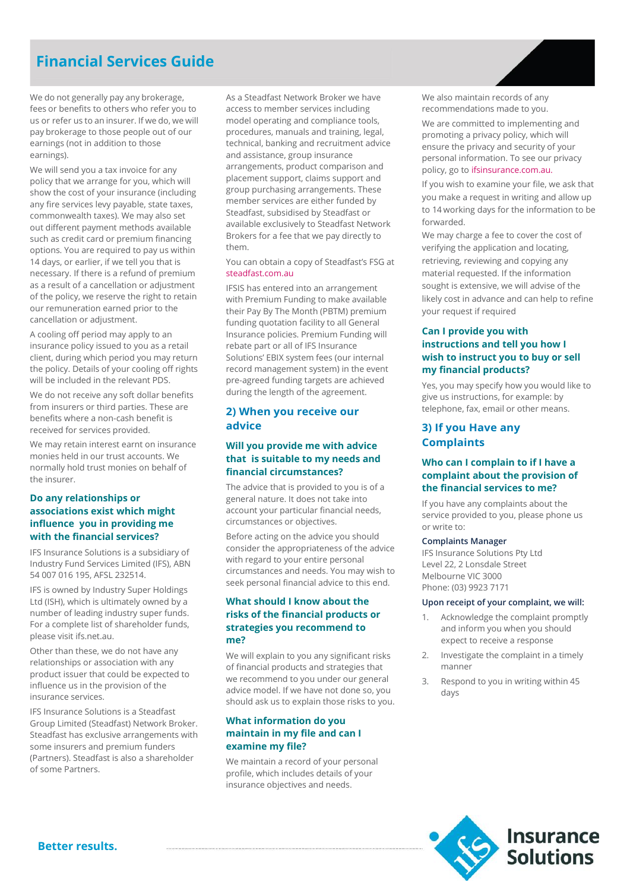## **Financial Services Guide**

We do not generally pay any brokerage, fees or benefits to others who refer you to us or refer us to an insurer. If we do, we will pay brokerage to those people out of our earnings (not in addition to those earnings).

We will send you a tax invoice for any policy that we arrange for you, which will show the cost of your insurance (including any fire services levy payable, state taxes, commonwealth taxes). We may also set out different payment methods available such as credit card or premium financing options. You are required to pay us within 14 days, or earlier, if we tell you that is necessary. If there is a refund of premium as a result of a cancellation or adjustment of the policy, we reserve the right to retain our remuneration earned prior to the cancellation or adjustment.

A cooling off period may apply to an insurance policy issued to you as a retail client, during which period you may return the policy. Details of your cooling off rights will be included in the relevant PDS.

We do not receive any soft dollar benefits from insurers or third parties. These are benefits where a non-cash benefit is received for services provided.

We may retain interest earnt on insurance monies held in our trust accounts. We normally hold trust monies on behalf of the insurer.

#### **Do any relationships or associations exist which might influence you in providing me with the financial services?**

IFS Insurance Solutions is a subsidiary of Industry Fund Services Limited (IFS), ABN 54 007 016 195, AFSL 232514.

IFS is owned by Industry Super Holdings Ltd (ISH), which is ultimately owned by a number of leading industry super funds. For a complete list of shareholder funds, please visit ifs.net.au.

Other than these, we do not have any relationships or association with any product issuer that could be expected to influence us in the provision of the insurance services.

IFS Insurance Solutions is a Steadfast Group Limited (Steadfast) Network Broker. Steadfast has exclusive arrangements with some insurers and premium funders (Partners). Steadfast is also a shareholder of some Partners.

As a Steadfast Network Broker we have access to member services including model operating and compliance tools, procedures, manuals and training, legal, technical, banking and recruitment advice and assistance, group insurance arrangements, product comparison and placement support, claims support and group purchasing arrangements. These member services are either funded by Steadfast, subsidised by Steadfast or available exclusively to Steadfast Network Brokers for a fee that we pay directly to them.

#### You can obtain a copy of Steadfast's FSG at [steadfast.com.au](http://www.steadfast.com.au/)

IFSIS has entered into an arrangement with Premium Funding to make available their Pay By The Month (PBTM) premium funding quotation facility to all General Insurance policies. Premium Funding will rebate part or all of IFS Insurance Solutions' EBIX system fees (our internal record management system) in the event pre-agreed funding targets are achieved during the length of the agreement.

## **2) When you receive our advice**

#### **Will you provide me with advice that is suitable to my needs and financial circumstances?**

The advice that is provided to you is of a general nature. It does not take into account your particular financial needs, circumstances or objectives.

Before acting on the advice you should consider the appropriateness of the advice with regard to your entire personal circumstances and needs. You may wish to seek personal financial advice to this end.

#### **What should I know about the risks of the financial products or strategies you recommend to me?**

We will explain to you any significant risks of financial products and strategies that we recommend to you under our general advice model. If we have not done so, you should ask us to explain those risks to you.

#### **What information do you maintain in my file and can I examine my file?**

We maintain a record of your personal profile, which includes details of your insurance objectives and needs.

We also maintain records of any recommendations made to you.

We are committed to implementing and promoting a privacy policy, which will ensure the privacy and security of your personal information. To see our privacy policy, go t[o ifsinsurance.com.au.](http://www.ifsinsurance.com.au/)

If you wish to examine your file, we ask that you make a request in writing and allow up to 14 working days for the information to be forwarded.

We may charge a fee to cover the cost of verifying the application and locating, retrieving, reviewing and copying any material requested. If the information sought is extensive, we will advise of the likely cost in advance and can help to refine your request if required

## **Can I provide you with instructions and tell you how I wish to instruct you to buy or sell my financial products?**

Yes, you may specify how you would like to give us instructions, for example: by telephone, fax, email or other means.

## **3) If you Have any Complaints**

## **Who can I complain to if I have a complaint about the provision of the financial services to me?**

If you have any complaints about the service provided to you, please phone us or write to:

#### **Complaints Manager**

IFS Insurance Solutions Pty Ltd Level 22, 2 Lonsdale Street Melbourne VIC 3000 Phone: (03) 9923 7171

#### **Upon receipt of your complaint, we will:**

- 1. Acknowledge the complaint promptly and inform you when you should expect to receive a response
- 2. Investigate the complaint in a timely manner
- 3. Respond to you in writing within 45 days